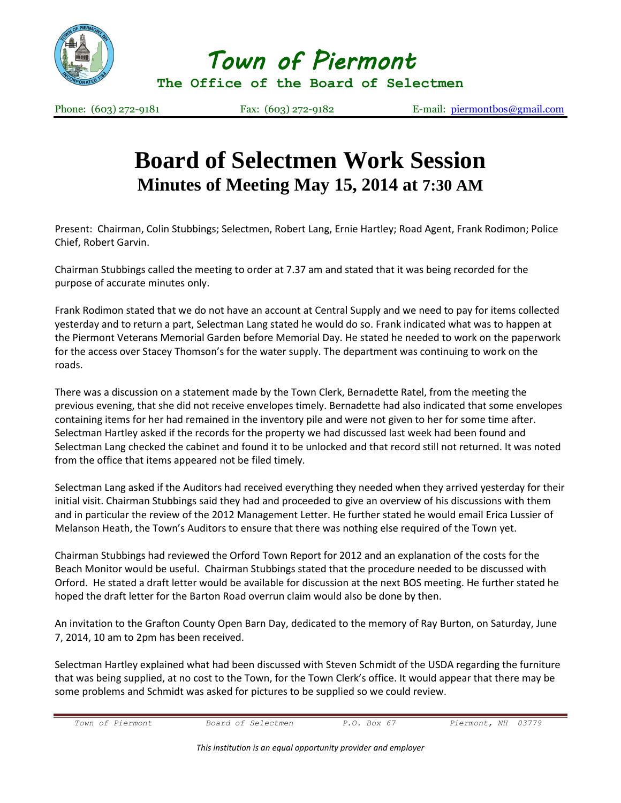

*Town of Piermont* 

**The Office of the Board of Selectmen**

Phone: (603) 272-9181 Fax: (603) 272-9182 E-mail: [piermontbos@gmail.com](mailto:piermontbos@gmail.com)

## **Board of Selectmen Work Session Minutes of Meeting May 15, 2014 at 7:30 AM**

Present: Chairman, Colin Stubbings; Selectmen, Robert Lang, Ernie Hartley; Road Agent, Frank Rodimon; Police Chief, Robert Garvin.

Chairman Stubbings called the meeting to order at 7.37 am and stated that it was being recorded for the purpose of accurate minutes only.

Frank Rodimon stated that we do not have an account at Central Supply and we need to pay for items collected yesterday and to return a part, Selectman Lang stated he would do so. Frank indicated what was to happen at the Piermont Veterans Memorial Garden before Memorial Day. He stated he needed to work on the paperwork for the access over Stacey Thomson's for the water supply. The department was continuing to work on the roads.

There was a discussion on a statement made by the Town Clerk, Bernadette Ratel, from the meeting the previous evening, that she did not receive envelopes timely. Bernadette had also indicated that some envelopes containing items for her had remained in the inventory pile and were not given to her for some time after. Selectman Hartley asked if the records for the property we had discussed last week had been found and Selectman Lang checked the cabinet and found it to be unlocked and that record still not returned. It was noted from the office that items appeared not be filed timely.

Selectman Lang asked if the Auditors had received everything they needed when they arrived yesterday for their initial visit. Chairman Stubbings said they had and proceeded to give an overview of his discussions with them and in particular the review of the 2012 Management Letter. He further stated he would email Erica Lussier of Melanson Heath, the Town's Auditors to ensure that there was nothing else required of the Town yet.

Chairman Stubbings had reviewed the Orford Town Report for 2012 and an explanation of the costs for the Beach Monitor would be useful. Chairman Stubbings stated that the procedure needed to be discussed with Orford. He stated a draft letter would be available for discussion at the next BOS meeting. He further stated he hoped the draft letter for the Barton Road overrun claim would also be done by then.

An invitation to the Grafton County Open Barn Day, dedicated to the memory of Ray Burton, on Saturday, June 7, 2014, 10 am to 2pm has been received.

Selectman Hartley explained what had been discussed with Steven Schmidt of the USDA regarding the furniture that was being supplied, at no cost to the Town, for the Town Clerk's office. It would appear that there may be some problems and Schmidt was asked for pictures to be supplied so we could review.